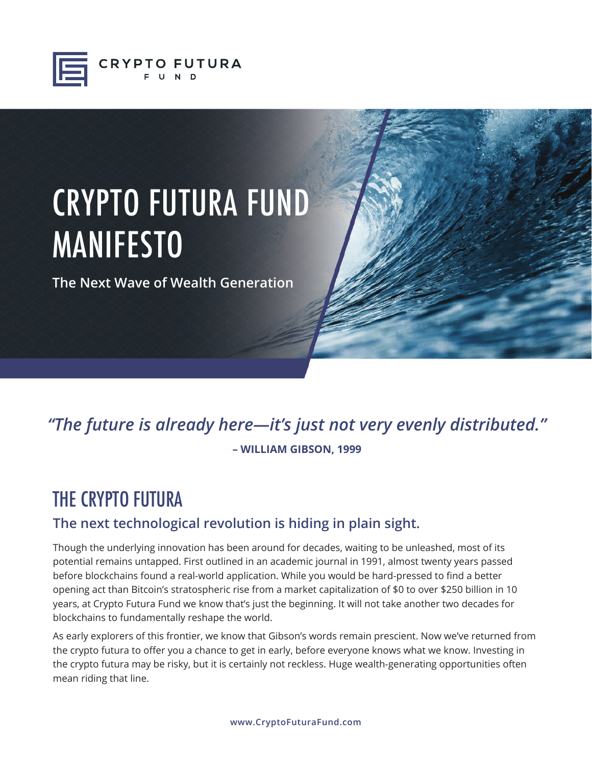

# CRYPTO FUTURA FUND **MANIFESTO**

**The Next Wave of Wealth Generation**

## *"The future is already here—it's just not very evenly distributed."* **– WILLIAM GIBSON, 1999**

## THE CRYPTO FUTURA

### **The next technological revolution is hiding in plain sight.**

Though the underlying innovation has been around for decades, waiting to be unleashed, most of its potential remains untapped. First outlined in an academic journal in 1991, almost twenty years passed before blockchains found a real-world application. While you would be hard-pressed to find a better opening act than Bitcoin's stratospheric rise from a market capitalization of \$0 to over \$250 billion in 10 years, at Crypto Futura Fund we know that's just the beginning. It will not take another two decades for blockchains to fundamentally reshape the world.

As early explorers of this frontier, we know that Gibson's words remain prescient. Now we've returned from the crypto futura to offer you a chance to get in early, before everyone knows what we know. Investing in the crypto futura may be risky, but it is certainly not reckless. Huge wealth-generating opportunities often mean riding that line.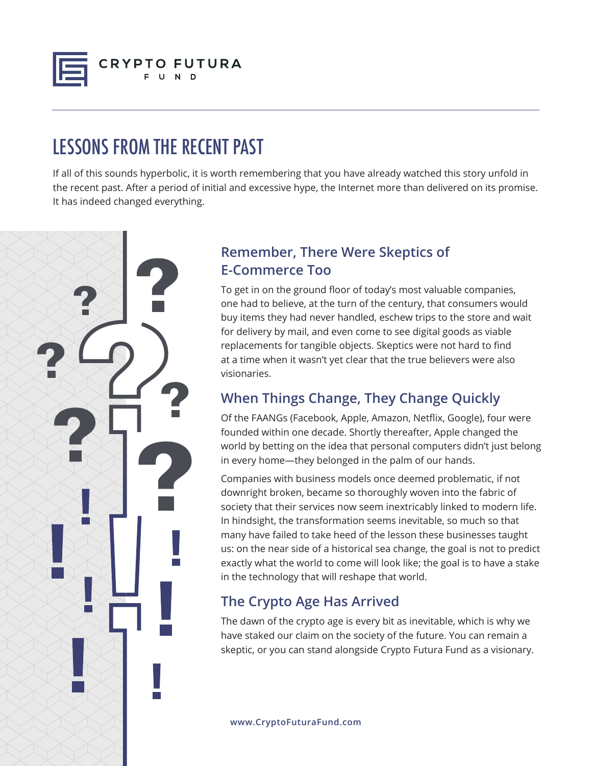

## LESSONS FROM THE RECENT PAST

If all of this sounds hyperbolic, it is worth remembering that you have already watched this story unfold in the recent past. After a period of initial and excessive hype, the Internet more than delivered on its promise. It has indeed changed everything.



#### **Remember, There Were Skeptics of E-Commerce Too**

To get in on the ground floor of today's most valuable companies, one had to believe, at the turn of the century, that consumers would buy items they had never handled, eschew trips to the store and wait for delivery by mail, and even come to see digital goods as viable replacements for tangible objects. Skeptics were not hard to find at a time when it wasn't yet clear that the true believers were also visionaries.

### **When Things Change, They Change Quickly**

Of the FAANGs (Facebook, Apple, Amazon, Netflix, Google), four were founded within one decade. Shortly thereafter, Apple changed the world by betting on the idea that personal computers didn't just belong in every home—they belonged in the palm of our hands.

Companies with business models once deemed problematic, if not downright broken, became so thoroughly woven into the fabric of society that their services now seem inextricably linked to modern life. In hindsight, the transformation seems inevitable, so much so that many have failed to take heed of the lesson these businesses taught us: on the near side of a historical sea change, the goal is not to predict exactly what the world to come will look like; the goal is to have a stake in the technology that will reshape that world.

### **The Crypto Age Has Arrived**

The dawn of the crypto age is every bit as inevitable, which is why we have staked our claim on the society of the future. You can remain a skeptic, or you can stand alongside Crypto Futura Fund as a visionary.